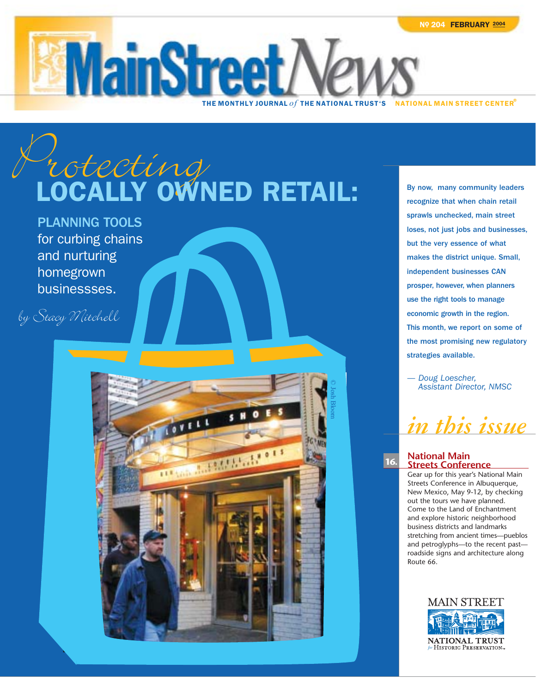**MainStreet** THE MONTHLY JOURNAL  $of$  the national trust's  $\;$  national main street center $^{\rm g}$ 



By now, many community leaders recognize that when chain retail sprawls unchecked, main street loses, not just jobs and businesses, but the very essence of what makes the district unique. Small, independent businesses CAN prosper, however, when planners use the right tools to manage economic growth in the region. This month, we report on some of the most promising new regulatory strategies available.

*— Doug Loescher, Assistant Director, NMSC*

# *in this issue*

#### **16. National Main Streets Conference**

Gear up for this year's National Main Streets Conference in Albuquerque, New Mexico, May 9-12, by checking out the tours we have planned. Come to the Land of Enchantment and explore historic neighborhood business districts and landmarks stretching from ancient times—pueblos and petroglyphs—to the recent past roadside signs and architecture along Route 66.

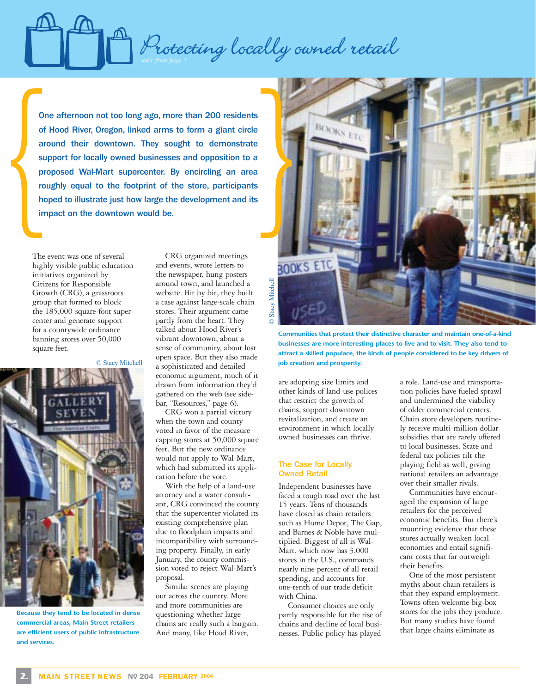

One afternoon not too long ago, more than 200 residents<br>of Hood River, Oregon, linked arms to form a giant circle<br>around their downtown. They sought to demonstrate<br>support for locally owned businesses and opposition to a<br>p of Hood River, Oregon, linked arms to form a giant circle around their downtown. They sought to demonstrate support for locally owned businesses and opposition to a proposed Wal-Mart supercenter. By encircling an area roughly equal to the footprint of the store, participants hoped to illustrate just how large the development and its impact on the downtown would be.

> The event was one of several highly visible public education initiatives organized by Citizens for Responsible Growth (CRG), a grassroots group that formed to block the 185,000-square-foot supercenter and generate support for a countywide ordinance banning stores over 50,000 square feet.



**Because they tend to be located in dense commercial areas, Main Street retailers are efficient users of public infrastructure and services.**

CRG organized meetings and events, wrote letters to the newspaper, hung posters around town, and launched a website. Bit by bit, they built a case against large-scale chain stores. Their argument came partly from the heart. They talked about Hood River's vibrant downtown, about a sense of community, about lost open space. But they also made a sophisticated and detailed economic argument, much of it drawn from information they'd gathered on the web (see sidebar, "Resources," page 6).

CRG won a partial victory when the town and county voted in favor of the measure capping stores at 50,000 square feet. But the new ordinance would not apply to Wal-Mart, which had submitted its application before the vote.

With the help of a land-use attorney and a water consultant, CRG convinced the county that the supercenter violated its existing comprehensive plan due to floodplain impacts and incompatibility with surrounding property. Finally, in early January, the county commission voted to reject Wal-Mart's proposal.

Similar scenes are playing out across the country. More and more communities are questioning whether large chains are really such a bargain. And many, like Hood River,



**Communities that protect their distinctive character and maintain one-of-a-kind businesses are more interesting places to live and to visit. They also tend to attract a skilled populace, the kinds of people considered to be key drivers of job creation and prosperity.**

are adopting size limits and other kinds of land-use polices that restrict the growth of chains, support downtown revitalization, and create an environment in which locally owned businesses can thrive.

#### The Case for Locally Owned Retail

Independent businesses have faced a tough road over the last 15 years. Tens of thousands have closed as chain retailers such as Home Depot, The Gap, and Barnes & Noble have multiplied. Biggest of all is Wal-Mart, which now has 3,000 stores in the U.S., commands nearly nine percent of all retail spending, and accounts for one-tenth of our trade deficit with China.

Consumer choices are only partly responsible for the rise of chains and decline of local businesses. Public policy has played

a role. Land-use and transportation policies have fueled sprawl and undermined the viability of older commercial centers. Chain store developers routinely receive multi-million dollar subsidies that are rarely offered to local businesses. State and federal tax policies tilt the playing field as well, giving national retailers an advantage over their smaller rivals.

Communities have encouraged the expansion of large retailers for the perceived economic benefits. But there's mounting evidence that these stores actually weaken local economies and entail significant costs that far outweigh their benefits.

One of the most persistent myths about chain retailers is that they expand employment. Towns often welcome big-box stores for the jobs they produce. But many studies have found that large chains eliminate as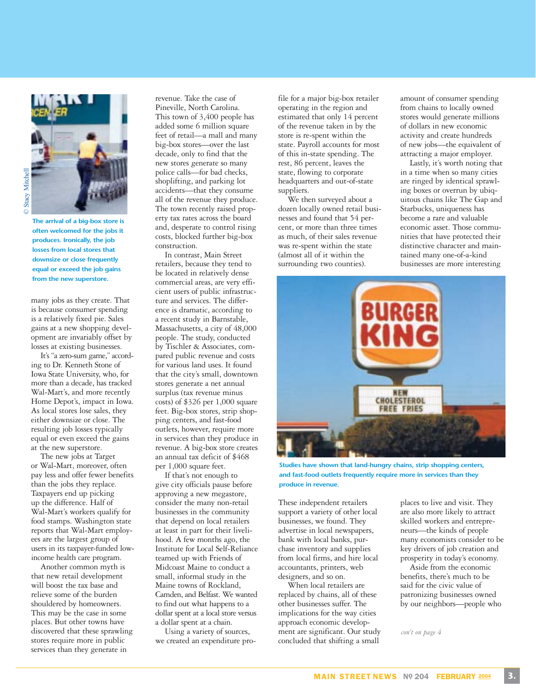

**The arrival of a big-box store is often welcomed for the jobs it produces. Ironically, the job losses from local stores that downsize or close frequently equal or exceed the job gains from the new superstore.** 

many jobs as they create. That is because consumer spending is a relatively fixed pie. Sales gains at a new shopping development are invariably offset by losses at existing businesses.

It's "a zero-sum game," according to Dr. Kenneth Stone of Iowa State University, who, for more than a decade, has tracked Wal-Mart's, and more recently Home Depot's, impact in Iowa. As local stores lose sales, they either downsize or close. The resulting job losses typically equal or even exceed the gains at the new superstore.

The new jobs at Target or Wal-Mart, moreover, often pay less and offer fewer benefits than the jobs they replace. Taxpayers end up picking up the difference. Half of Wal-Mart's workers qualify for food stamps. Washington state reports that Wal-Mart employees are the largest group of users in its taxpayer-funded lowincome health care program.

Another common myth is that new retail development will boost the tax base and relieve some of the burden shouldered by homeowners. This may be the case in some places. But other towns have discovered that these sprawling stores require more in public services than they generate in

revenue. Take the case of Pineville, North Carolina. This town of 3,400 people has added some 6 million square feet of retail—a mall and many big-box stores—over the last decade, only to find that the new stores generate so many police calls—for bad checks, shoplifting, and parking lot accidents—that they consume all of the revenue they produce. The town recently raised property tax rates across the board and, desperate to control rising costs, blocked further big-box construction.

In contrast, Main Street retailers, because they tend to be located in relatively dense commercial areas, are very efficient users of public infrastructure and services. The difference is dramatic, according to a recent study in Barnstable, Massachusetts, a city of 48,000 people. The study, conducted by Tischler & Associates, compared public revenue and costs for various land uses. It found that the city's small, downtown stores generate a net annual surplus (tax revenue minus costs) of \$326 per 1,000 square feet. Big-box stores, strip shopping centers, and fast-food outlets, however, require more in services than they produce in revenue. A big-box store creates an annual tax deficit of \$468 per 1,000 square feet.

If that's not enough to give city officials pause before approving a new megastore, consider the many non-retail businesses in the community that depend on local retailers at least in part for their livelihood. A few months ago, the Institute for Local Self-Reliance teamed up with Friends of Midcoast Maine to conduct a small, informal study in the Maine towns of Rockland, Camden, and Belfast. We wanted to find out what happens to a dollar spent at a local store versus a dollar spent at a chain.

Using a variety of sources, we created an expenditure profile for a major big-box retailer operating in the region and estimated that only 14 percent of the revenue taken in by the store is re-spent within the state. Payroll accounts for most of this in-state spending. The rest, 86 percent, leaves the state, flowing to corporate headquarters and out-of-state suppliers.

We then surveyed about a dozen locally owned retail businesses and found that 54 percent, or more than three times as much, of their sales revenue was re-spent within the state (almost all of it within the surrounding two counties).

amount of consumer spending from chains to locally owned stores would generate millions of dollars in new economic activity and create hundreds of new jobs—the equivalent of attracting a major employer.

Lastly, it's worth noting that in a time when so many cities are ringed by identical sprawling boxes or overrun by ubiquitous chains like The Gap and Starbucks, uniqueness has become a rare and valuable economic asset. Those communities that have protected their distinctive character and maintained many one-of-a-kind businesses are more interesting



**Studies have shown that land-hungry chains, strip shopping centers, and fast-food outlets frequently require more in services than they produce in revenue.**

These independent retailers support a variety of other local businesses, we found. They advertise in local newspapers, bank with local banks, purchase inventory and supplies from local firms, and hire local accountants, printers, web designers, and so on.

When local retailers are replaced by chains, all of these other businesses suffer. The implications for the way cities approach economic development are significant. Our study concluded that shifting a small

places to live and visit. They are also more likely to attract skilled workers and entrepreneurs—the kinds of people many economists consider to be key drivers of job creation and prosperity in today's economy.

Aside from the economic benefits, there's much to be said for the civic value of patronizing businesses owned by our neighbors—people who

*con't on page 4*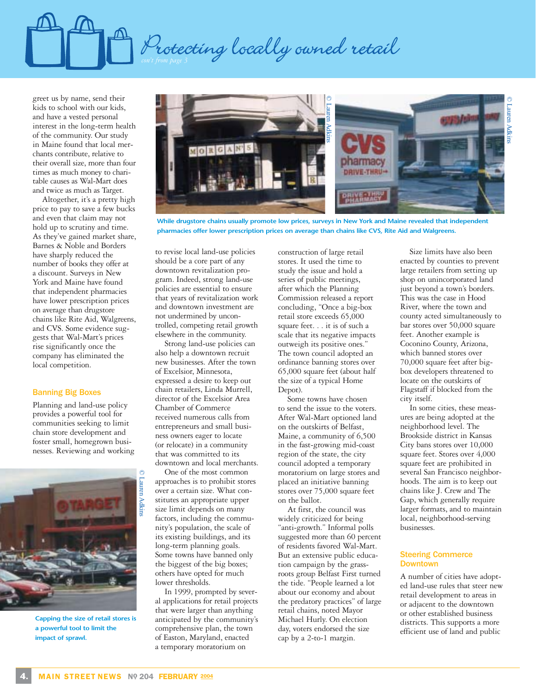

greet us by name, send their kids to school with our kids, and have a vested personal interest in the long-term health of the community. Our study in Maine found that local merchants contribute, relative to their overall size, more than four times as much money to charitable causes as Wal-Mart does and twice as much as Target.

Altogether, it's a pretty high price to pay to save a few bucks and even that claim may not hold up to scrutiny and time. As they've gained market share, Barnes & Noble and Borders have sharply reduced the number of books they offer at a discount. Surveys in New York and Maine have found that independent pharmacies have lower prescription prices on average than drugstore chains like Rite Aid, Walgreens, and CVS. Some evidence suggests that Wal-Mart's prices rise significantly once the company has eliminated the local competition.

#### Banning Big Boxes

Planning and land-use policy provides a powerful tool for communities seeking to limit chain store development and foster small, homegrown businesses. Reviewing and working



**Capping the size of retail stores is a powerful tool to limit the impact of sprawl.**



**While drugstore chains usually promote low prices, surveys in New York and Maine revealed that independent pharmacies offer lower prescription prices on average than chains like CVS, Rite Aid and Walgreens.**

to revise local land-use policies should be a core part of any downtown revitalization program. Indeed, strong land-use policies are essential to ensure that years of revitalization work and downtown investment are not undermined by uncontrolled, competing retail growth elsewhere in the community.

Strong land-use policies can also help a downtown recruit new businesses. After the town of Excelsior, Minnesota, expressed a desire to keep out chain retailers, Linda Murrell, director of the Excelsior Area Chamber of Commerce received numerous calls from entrepreneurs and small business owners eager to locate (or relocate) in a community that was committed to its downtown and local merchants.

One of the most common approaches is to prohibit stores over a certain size. What constitutes an appropriate upper size limit depends on many factors, including the community's population, the scale of its existing buildings, and its long-term planning goals. Some towns have banned only the biggest of the big boxes; others have opted for much lower thresholds.

In 1999, prompted by several applications for retail projects that were larger than anything anticipated by the community's comprehensive plan, the town of Easton, Maryland, enacted a temporary moratorium on

construction of large retail stores. It used the time to study the issue and hold a series of public meetings, after which the Planning Commission released a report concluding, "Once a big-box retail store exceeds 65,000 square feet. . . it is of such a scale that its negative impacts outweigh its positive ones." The town council adopted an ordinance banning stores over 65,000 square feet (about half the size of a typical Home Depot).

Some towns have chosen to send the issue to the voters. After Wal-Mart optioned land on the outskirts of Belfast, Maine, a community of 6,500 in the fast-growing mid-coast region of the state, the city council adopted a temporary moratorium on large stores and placed an initiative banning stores over 75,000 square feet on the ballot.

At first, the council was widely criticized for being "anti-growth." Informal polls suggested more than 60 percent of residents favored Wal-Mart. But an extensive public education campaign by the grassroots group Belfast First turned the tide. "People learned a lot about our economy and about the predatory practices" of large retail chains, noted Mayor Michael Hurly. On election day, voters endorsed the size cap by a 2-to-1 margin.

Size limits have also been enacted by counties to prevent large retailers from setting up shop on unincorporated land just beyond a town's borders. This was the case in Hood River, where the town and county acted simultaneously to bar stores over 50,000 square feet. Another example is Coconino County, Arizona, which banned stores over 70,000 square feet after bigbox developers threatened to locate on the outskirts of Flagstaff if blocked from the city itself.

In some cities, these measures are being adopted at the neighborhood level. The Brookside district in Kansas City bans stores over 10,000 square feet. Stores over 4,000 square feet are prohibited in several San Francisco neighborhoods. The aim is to keep out chains like J. Crew and The Gap, which generally require larger formats, and to maintain local, neighborhood-serving businesses.

#### Steering Commerce Downtown

A number of cities have adopted land-use rules that steer new retail development to areas in or adjacent to the downtown or other established business districts. This supports a more efficient use of land and public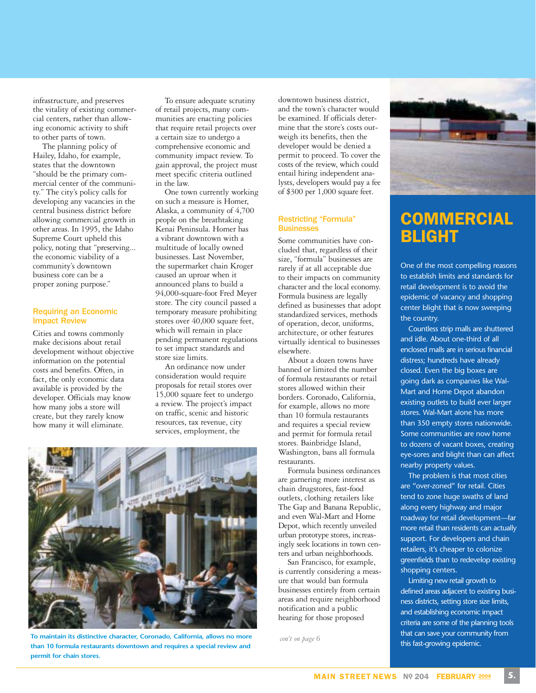infrastructure, and preserves the vitality of existing commercial centers, rather than allowing economic activity to shift to other parts of town.

The planning policy of Hailey, Idaho, for example, states that the downtown "should be the primary commercial center of the community." The city's policy calls for developing any vacancies in the central business district before allowing commercial growth in other areas. In 1995, the Idaho Supreme Court upheld this policy, noting that "preserving... the economic viability of a community's downtown business core can be a proper zoning purpose."

#### Requiring an Economic Impact Review

Cities and towns commonly make decisions about retail development without objective information on the potential costs and benefits. Often, in fact, the only economic data available is provided by the developer. Officials may know how many jobs a store will create, but they rarely know how many it will eliminate.

To ensure adequate scrutiny of retail projects, many communities are enacting policies that require retail projects over a certain size to undergo a comprehensive economic and community impact review. To gain approval, the project must meet specific criteria outlined in the law.

One town currently working on such a measure is Homer, Alaska, a community of 4,700 people on the breathtaking Kenai Peninsula. Homer has a vibrant downtown with a multitude of locally owned businesses. Last November, the supermarket chain Kroger caused an uproar when it announced plans to build a 94,000-square-foot Fred Meyer store. The city council passed a temporary measure prohibiting stores over 40,000 square feet, which will remain in place pending permanent regulations to set impact standards and store size limits.

An ordinance now under consideration would require proposals for retail stores over 15,000 square feet to undergo a review. The project's impact on traffic, scenic and historic resources, tax revenue, city services, employment, the



To maintain its distinctive character, Coronado, California, allows no more<br>
this fast-growing epidemic. The maintain is fast-growing epidemic. **permit for chain stores.**

downtown business district, and the town's character would be examined. If officials determine that the store's costs outweigh its benefits, then the developer would be denied a permit to proceed. To cover the costs of the review, which could entail hiring independent analysts, developers would pay a fee of \$300 per 1,000 square feet.

#### Restricting "Formula" **Businesses**

Some communities have concluded that, regardless of their size, "formula" businesses are rarely if at all acceptable due to their impacts on community character and the local economy. Formula business are legally defined as businesses that adopt standardized services, methods of operation, decor, uniforms, architecture, or other features virtually identical to businesses elsewhere.

About a dozen towns have banned or limited the number of formula restaurants or retail stores allowed within their borders. Coronado, California, for example, allows no more than 10 formula restaurants and requires a special review and permit for formula retail stores. Bainbridge Island, Washington, bans all formula restaurants.

Formula business ordinances are garnering more interest as chain drugstores, fast-food outlets, clothing retailers like The Gap and Banana Republic, and even Wal-Mart and Home Depot, which recently unveiled urban prototype stores, increasingly seek locations in town centers and urban neighborhoods.

San Francisco, for example, is currently considering a measure that would ban formula businesses entirely from certain areas and require neighborhood notification and a public hearing for those proposed



### **COMMERCIAL** BLIGHT

One of the most compelling reasons to establish limits and standards for retail development is to avoid the epidemic of vacancy and shopping center blight that is now sweeping the country.

Countless strip malls are shuttered and idle. About one-third of all enclosed malls are in serious financial distress; hundreds have already closed. Even the big boxes are going dark as companies like Wal-Mart and Home Depot abandon existing outlets to build ever larger stores. Wal-Mart alone has more than 350 empty stores nationwide. Some communities are now home to dozens of vacant boxes, creating eye-sores and blight than can affect nearby property values.

The problem is that most cities are "over-zoned" for retail. Cities tend to zone huge swaths of land along every highway and major roadway for retail development—far more retail than residents can actually support. For developers and chain retailers, it's cheaper to colonize greenfields than to redevelop existing shopping centers.

Limiting new retail growth to defined areas adjacent to existing business districts, setting store size limits, and establishing economic impact criteria are some of the planning tools that can save your community from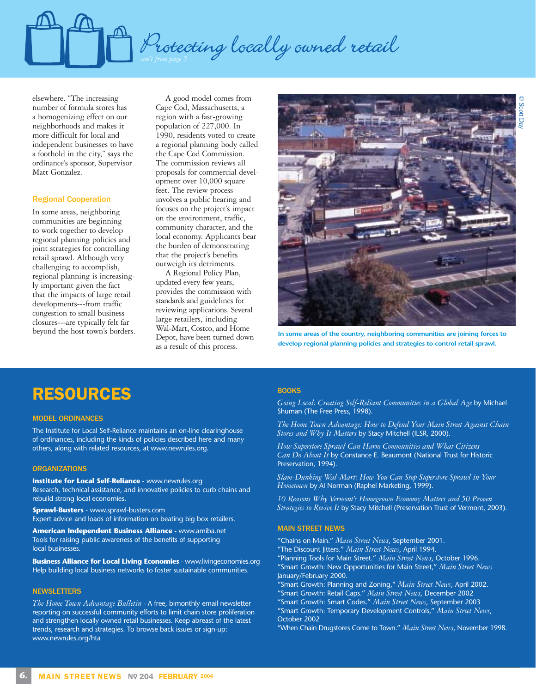

elsewhere. "The increasing number of formula stores has a homogenizing effect on our neighborhoods and makes it more difficult for local and independent businesses to have a foothold in the city," says the ordinance's sponsor, Supervisor Matt Gonzalez.

#### Regional Cooperation

In some areas, neighboring communities are beginning to work together to develop regional planning policies and joint strategies for controlling retail sprawl. Although very challenging to accomplish, regional planning is increasingly important given the fact that the impacts of large retail developments---from traffic congestion to small business closures---are typically felt far beyond the host town's borders.

A good model comes from Cape Cod, Massachusetts, a region with a fast-growing population of 227,000. In 1990, residents voted to create a regional planning body called the Cape Cod Commission. The commission reviews all proposals for commercial development over 10,000 square feet. The review process involves a public hearing and focuses on the project's impact on the environment, traffic, community character, and the local economy. Applicants bear the burden of demonstrating that the project's benefits outweigh its detriments.

A Regional Policy Plan, updated every few years, provides the commission with standards and guidelines for reviewing applications. Several large retailers, including Wal-Mart, Costco, and Home Depot, have been turned down as a result of this process.



**In some areas of the country, neighboring communities are joining forces to develop regional planning policies and strategies to control retail sprawl.**

### RESOURCES

#### MODEL ORDINANCES

The Institute for Local Self-Reliance maintains an on-line clearinghouse of ordinances, including the kinds of policies described here and many others, along with related resources, at www.newrules.org.

#### **ORGANIZATIONS**

**Institute for Local Self-Reliance** - www.newrules.org Research, technical assistance, and innovative policies to curb chains and rebuild strong local economies.

**Sprawl-Busters** - www.sprawl-busters.com Expert advice and loads of information on beating big box retailers.

**American Independent Business Alliance** - www.amiba.net Tools for raising public awareness of the benefits of supporting local businesses.

**Business Alliance for Local Living Economies** - www.livingeconomies.org Help building local business networks to foster sustainable communities.

#### **NEWSLETTERS**

*The Home Town Advantage Bulletin* - A free, bimonthly email newsletter reporting on successful community efforts to limit chain store proliferation and strengthen locally owned retail businesses. Keep abreast of the latest trends, research and strategies. To browse back issues or sign-up: www.newrules.org/hta

#### **BOOKS**

*Going Local: Creating Self-Reliant Communities in a Global Age* by Michael Shuman (The Free Press, 1998).

*The Home Town Advantage: How to Defend Your Main Street Against Chain Stores and Why It Matters* by Stacy Mitchell (ILSR, 2000).

*How Superstore Sprawl Can Harm Communities and What Citizens Can Do About It* by Constance E. Beaumont (National Trust for Historic Preservation, 1994).

*Slam-Dunking Wal-Mart: How You Can Stop Superstore Sprawl in Your Hometown* by Al Norman (Raphel Marketing, 1999).

*10 Reasons Why Vermont's Homegrown Economy Matters and 50 Proven Strategies to Revive It* by Stacy Mitchell (Preservation Trust of Vermont, 2003).

#### MAIN STREET NEWS

"Chains on Main." *Main Street News*, September 2001. "The Discount Jitters." *Main Street News*, April 1994. "Planning Tools for Main Street." *Main Street News*, October 1996. "Smart Growth: New Opportunities for Main Street," *Main Street News* January/February 2000. "Smart Growth: Planning and Zoning," *Main Street News*, April 2002. "Smart Growth: Retail Caps." *Main Street News*, December 2002 "Smart Growth: Smart Codes." *Main Street News*, September 2003

"Smart Growth: Temporary Development Controls," *Main Street News*, October 2002

"When Chain Drugstores Come to Town." *Main Street News*, November 1998.